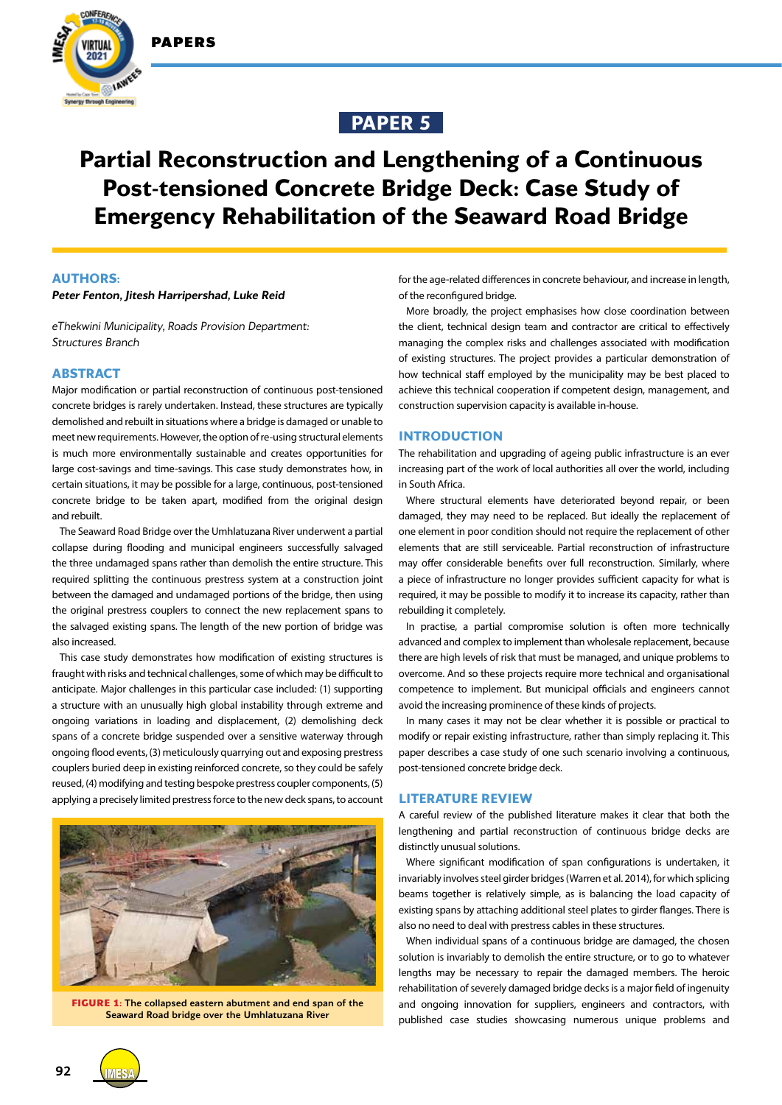



# **PAPER 5**

# **Partial Reconstruction and Lengthening of a Continuous Post-tensioned Concrete Bridge Deck: Case Study of Emergency Rehabilitation of the Seaward Road Bridge**

# **AUTHORS:**

#### *Peter Fenton, Jitesh Harripershad, Luke Reid*

*eThekwini Municipality, Roads Provision Department: Structures Branch*

# **ABSTRACT**

Major modification or partial reconstruction of continuous post-tensioned concrete bridges is rarely undertaken. Instead, these structures are typically demolished and rebuilt in situations where a bridge is damaged or unable to meet new requirements. However, the option of re-using structural elements is much more environmentally sustainable and creates opportunities for large cost-savings and time-savings. This case study demonstrates how, in certain situations, it may be possible for a large, continuous, post-tensioned concrete bridge to be taken apart, modified from the original design and rebuilt.

The Seaward Road Bridge over the Umhlatuzana River underwent a partial collapse during flooding and municipal engineers successfully salvaged the three undamaged spans rather than demolish the entire structure. This required splitting the continuous prestress system at a construction joint between the damaged and undamaged portions of the bridge, then using the original prestress couplers to connect the new replacement spans to the salvaged existing spans. The length of the new portion of bridge was also increased.

This case study demonstrates how modification of existing structures is fraught with risks and technical challenges, some of which may be difficult to anticipate. Major challenges in this particular case included: (1) supporting a structure with an unusually high global instability through extreme and ongoing variations in loading and displacement, (2) demolishing deck spans of a concrete bridge suspended over a sensitive waterway through ongoing flood events, (3) meticulously quarrying out and exposing prestress couplers buried deep in existing reinforced concrete, so they could be safely reused, (4) modifying and testing bespoke prestress coupler components, (5) applying a precisely limited prestress force to the new deck spans, to account



**FIGURE 1:** The collapsed eastern abutment and end span of the Seaward Road bridge over the Umhlatuzana River

for the age-related differences in concrete behaviour, and increase in length, of the reconfigured bridge.

More broadly, the project emphasises how close coordination between the client, technical design team and contractor are critical to effectively managing the complex risks and challenges associated with modification of existing structures. The project provides a particular demonstration of how technical staff employed by the municipality may be best placed to achieve this technical cooperation if competent design, management, and construction supervision capacity is available in-house.

# **INTRODUCTION**

The rehabilitation and upgrading of ageing public infrastructure is an ever increasing part of the work of local authorities all over the world, including in South Africa.

Where structural elements have deteriorated beyond repair, or been damaged, they may need to be replaced. But ideally the replacement of one element in poor condition should not require the replacement of other elements that are still serviceable. Partial reconstruction of infrastructure may offer considerable benefits over full reconstruction. Similarly, where a piece of infrastructure no longer provides sufficient capacity for what is required, it may be possible to modify it to increase its capacity, rather than rebuilding it completely.

In practise, a partial compromise solution is often more technically advanced and complex to implement than wholesale replacement, because there are high levels of risk that must be managed, and unique problems to overcome. And so these projects require more technical and organisational competence to implement. But municipal officials and engineers cannot avoid the increasing prominence of these kinds of projects.

In many cases it may not be clear whether it is possible or practical to modify or repair existing infrastructure, rather than simply replacing it. This paper describes a case study of one such scenario involving a continuous, post-tensioned concrete bridge deck.

# **LITERATURE REVIEW**

A careful review of the published literature makes it clear that both the lengthening and partial reconstruction of continuous bridge decks are distinctly unusual solutions.

Where significant modification of span configurations is undertaken, it invariably involves steel girder bridges (Warren et al. 2014), for which splicing beams together is relatively simple, as is balancing the load capacity of existing spans by attaching additional steel plates to girder flanges. There is also no need to deal with prestress cables in these structures.

When individual spans of a continuous bridge are damaged, the chosen solution is invariably to demolish the entire structure, or to go to whatever lengths may be necessary to repair the damaged members. The heroic rehabilitation of severely damaged bridge decks is a major field of ingenuity and ongoing innovation for suppliers, engineers and contractors, with published case studies showcasing numerous unique problems and

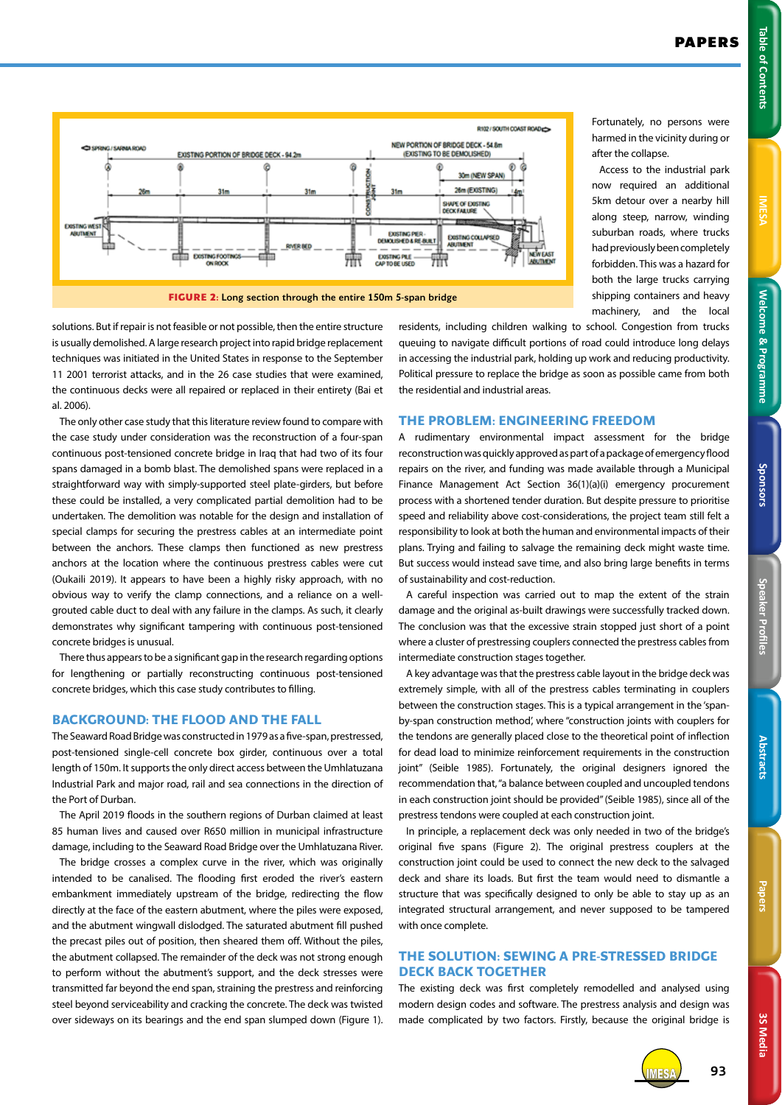Fortunately, no persons were harmed in the vicinity during or

Access to the industrial park now required an additional 5km detour over a nearby hill along steep, narrow, winding suburban roads, where trucks had previously been completely forbidden. This was a hazard for both the large trucks carrying shipping containers and heavy

after the collapse.



solutions. But if repair is not feasible or not possible, then the entire structure is usually demolished. A large research project into rapid bridge replacement techniques was initiated in the United States in response to the September 11 2001 terrorist attacks, and in the 26 case studies that were examined, the continuous decks were all repaired or replaced in their entirety (Bai et al. 2006).

The only other case study that this literature review found to compare with the case study under consideration was the reconstruction of a four-span continuous post-tensioned concrete bridge in Iraq that had two of its four spans damaged in a bomb blast. The demolished spans were replaced in a straightforward way with simply-supported steel plate-girders, but before these could be installed, a very complicated partial demolition had to be undertaken. The demolition was notable for the design and installation of special clamps for securing the prestress cables at an intermediate point between the anchors. These clamps then functioned as new prestress anchors at the location where the continuous prestress cables were cut (Oukaili 2019). It appears to have been a highly risky approach, with no obvious way to verify the clamp connections, and a reliance on a wellgrouted cable duct to deal with any failure in the clamps. As such, it clearly demonstrates why significant tampering with continuous post-tensioned concrete bridges is unusual.

There thus appears to be a significant gap in the research regarding options for lengthening or partially reconstructing continuous post-tensioned concrete bridges, which this case study contributes to filling.

# **BACKGROUND: THE FLOOD AND THE FALL**

The Seaward Road Bridge was constructed in 1979 as a five-span, prestressed, post-tensioned single-cell concrete box girder, continuous over a total length of 150m. It supports the only direct access between the Umhlatuzana Industrial Park and major road, rail and sea connections in the direction of the Port of Durban.

The April 2019 floods in the southern regions of Durban claimed at least 85 human lives and caused over R650 million in municipal infrastructure damage, including to the Seaward Road Bridge over the Umhlatuzana River.

The bridge crosses a complex curve in the river, which was originally intended to be canalised. The flooding first eroded the river's eastern embankment immediately upstream of the bridge, redirecting the flow directly at the face of the eastern abutment, where the piles were exposed, and the abutment wingwall dislodged. The saturated abutment fill pushed the precast piles out of position, then sheared them off. Without the piles, the abutment collapsed. The remainder of the deck was not strong enough to perform without the abutment's support, and the deck stresses were transmitted far beyond the end span, straining the prestress and reinforcing steel beyond serviceability and cracking the concrete. The deck was twisted over sideways on its bearings and the end span slumped down (Figure 1).

machinery, and the local residents, including children walking to school. Congestion from trucks queuing to navigate difficult portions of road could introduce long delays in accessing the industrial park, holding up work and reducing productivity. Political pressure to replace the bridge as soon as possible came from both the residential and industrial areas.

#### **THE PROBLEM: ENGINEERING FREEDOM**

A rudimentary environmental impact assessment for the bridge reconstruction was quickly approved as part of a package of emergency flood repairs on the river, and funding was made available through a Municipal Finance Management Act Section 36(1)(a)(i) emergency procurement process with a shortened tender duration. But despite pressure to prioritise speed and reliability above cost-considerations, the project team still felt a responsibility to look at both the human and environmental impacts of their plans. Trying and failing to salvage the remaining deck might waste time. But success would instead save time, and also bring large benefits in terms of sustainability and cost-reduction.

A careful inspection was carried out to map the extent of the strain damage and the original as-built drawings were successfully tracked down. The conclusion was that the excessive strain stopped just short of a point where a cluster of prestressing couplers connected the prestress cables from intermediate construction stages together.

A key advantage was that the prestress cable layout in the bridge deck was extremely simple, with all of the prestress cables terminating in couplers between the construction stages. This is a typical arrangement in the 'spanby-span construction method', where "construction joints with couplers for the tendons are generally placed close to the theoretical point of inflection for dead load to minimize reinforcement requirements in the construction joint" (Seible 1985). Fortunately, the original designers ignored the recommendation that, "a balance between coupled and uncoupled tendons in each construction joint should be provided" (Seible 1985), since all of the prestress tendons were coupled at each construction joint.

In principle, a replacement deck was only needed in two of the bridge's original five spans (Figure 2). The original prestress couplers at the construction joint could be used to connect the new deck to the salvaged deck and share its loads. But first the team would need to dismantle a structure that was specifically designed to only be able to stay up as an integrated structural arrangement, and never supposed to be tampered with once complete.

# **THE SOLUTION: SEWING A PRE-STRESSED BRIDGE DECK BACK TOGETHER**

The existing deck was first completely remodelled and analysed using modern design codes and software. The prestress analysis and design was made complicated by two factors. Firstly, because the original bridge is



**3S Media**

3S Media

IMESA **93**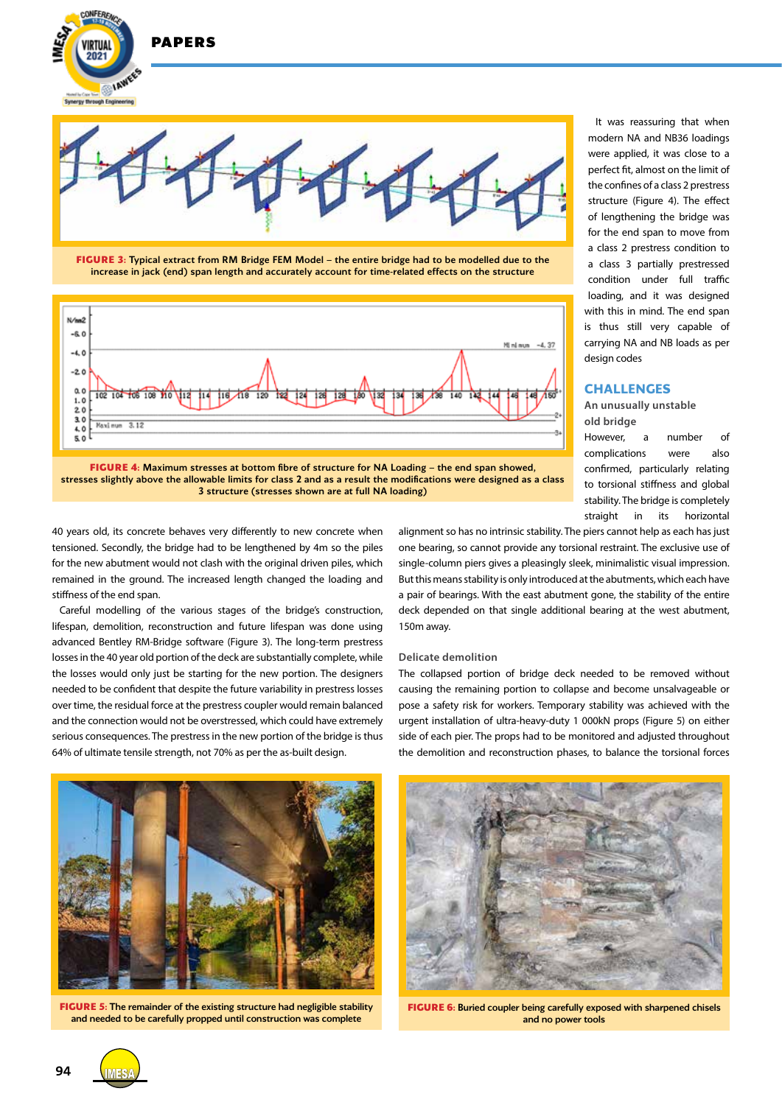

2021

**IAWE nuch Foole** 



**FIGURE 3:** Typical extract from RM Bridge FEM Model – the entire bridge had to be modelled due to the increase in jack (end) span length and accurately account for time-related effects on the structure



It was reassuring that when modern NA and NB36 loadings were applied, it was close to a perfect fit, almost on the limit of the confines of a class 2 prestress structure (Figure 4). The effect of lengthening the bridge was for the end span to move from a class 2 prestress condition to a class 3 partially prestressed condition under full traffic loading, and it was designed with this in mind. The end span is thus still very capable of carrying NA and NB loads as per design codes

#### **CHALLENGES**

**An unusually unstable old bridge**

However, a number of complications were also confirmed, particularly relating to torsional stiffness and global stability. The bridge is completely straight in its horizontal

**FIGURE 4:** Maximum stresses at bottom fibre of structure for NA Loading – the end span showed, stresses slightly above the allowable limits for class 2 and as a result the modifications were designed as a class 3 structure (stresses shown are at full NA loading)

40 years old, its concrete behaves very differently to new concrete when tensioned. Secondly, the bridge had to be lengthened by 4m so the piles for the new abutment would not clash with the original driven piles, which remained in the ground. The increased length changed the loading and stiffness of the end span.

Careful modelling of the various stages of the bridge's construction, lifespan, demolition, reconstruction and future lifespan was done using advanced Bentley RM-Bridge software (Figure 3). The long-term prestress losses in the 40 year old portion of the deck are substantially complete, while the losses would only just be starting for the new portion. The designers needed to be confident that despite the future variability in prestress losses over time, the residual force at the prestress coupler would remain balanced and the connection would not be overstressed, which could have extremely serious consequences. The prestress in the new portion of the bridge is thus 64% of ultimate tensile strength, not 70% as per the as-built design.

alignment so has no intrinsic stability. The piers cannot help as each has just one bearing, so cannot provide any torsional restraint. The exclusive use of single-column piers gives a pleasingly sleek, minimalistic visual impression. But this means stability is only introduced at the abutments, which each have a pair of bearings. With the east abutment gone, the stability of the entire deck depended on that single additional bearing at the west abutment, 150m away.

#### **Delicate demolition**

The collapsed portion of bridge deck needed to be removed without causing the remaining portion to collapse and become unsalvageable or pose a safety risk for workers. Temporary stability was achieved with the urgent installation of ultra-heavy-duty 1 000kN props (Figure 5) on either side of each pier. The props had to be monitored and adjusted throughout the demolition and reconstruction phases, to balance the torsional forces



**FIGURE 5:** The remainder of the existing structure had negligible stability and needed to be carefully propped until construction was complete



**FIGURE 6:** Buried coupler being carefully exposed with sharpened chisels and no power tools

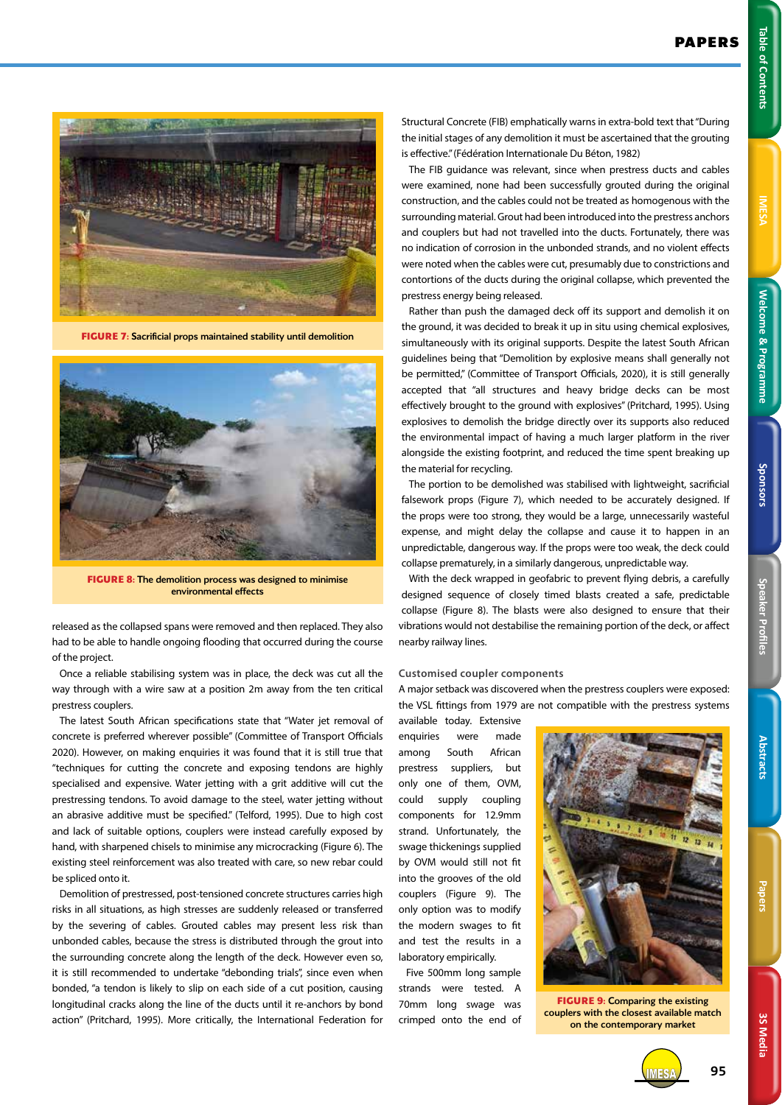**FIGURE 7:** Sacrificial props maintained stability until demolition



**FIGURE 8:** The demolition process was designed to minimise environmental effects

released as the collapsed spans were removed and then replaced. They also had to be able to handle ongoing flooding that occurred during the course of the project.

Once a reliable stabilising system was in place, the deck was cut all the way through with a wire saw at a position 2m away from the ten critical prestress couplers.

The latest South African specifications state that "Water jet removal of concrete is preferred wherever possible" (Committee of Transport Officials 2020). However, on making enquiries it was found that it is still true that "techniques for cutting the concrete and exposing tendons are highly specialised and expensive. Water jetting with a grit additive will cut the prestressing tendons. To avoid damage to the steel, water jetting without an abrasive additive must be specified." (Telford, 1995). Due to high cost and lack of suitable options, couplers were instead carefully exposed by hand, with sharpened chisels to minimise any microcracking (Figure 6). The existing steel reinforcement was also treated with care, so new rebar could be spliced onto it.

Demolition of prestressed, post-tensioned concrete structures carries high risks in all situations, as high stresses are suddenly released or transferred by the severing of cables. Grouted cables may present less risk than unbonded cables, because the stress is distributed through the grout into the surrounding concrete along the length of the deck. However even so, it is still recommended to undertake "debonding trials", since even when bonded, "a tendon is likely to slip on each side of a cut position, causing longitudinal cracks along the line of the ducts until it re-anchors by bond action" (Pritchard, 1995). More critically, the International Federation for Structural Concrete (FIB) emphatically warns in extra-bold text that "During the initial stages of any demolition it must be ascertained that the grouting is effective." (Fédération Internationale Du Béton, 1982)

The FIB guidance was relevant, since when prestress ducts and cables were examined, none had been successfully grouted during the original construction, and the cables could not be treated as homogenous with the surrounding material. Grout had been introduced into the prestress anchors and couplers but had not travelled into the ducts. Fortunately, there was no indication of corrosion in the unbonded strands, and no violent effects were noted when the cables were cut, presumably due to constrictions and contortions of the ducts during the original collapse, which prevented the prestress energy being released.

Rather than push the damaged deck off its support and demolish it on the ground, it was decided to break it up in situ using chemical explosives, simultaneously with its original supports. Despite the latest South African guidelines being that "Demolition by explosive means shall generally not be permitted," (Committee of Transport Officials, 2020), it is still generally accepted that "all structures and heavy bridge decks can be most effectively brought to the ground with explosives" (Pritchard, 1995). Using explosives to demolish the bridge directly over its supports also reduced the environmental impact of having a much larger platform in the river alongside the existing footprint, and reduced the time spent breaking up the material for recycling.

The portion to be demolished was stabilised with lightweight, sacrificial falsework props (Figure 7), which needed to be accurately designed. If the props were too strong, they would be a large, unnecessarily wasteful expense, and might delay the collapse and cause it to happen in an unpredictable, dangerous way. If the props were too weak, the deck could collapse prematurely, in a similarly dangerous, unpredictable way.

With the deck wrapped in geofabric to prevent flying debris, a carefully designed sequence of closely timed blasts created a safe, predictable collapse (Figure 8). The blasts were also designed to ensure that their vibrations would not destabilise the remaining portion of the deck, or affect nearby railway lines.

# **Customised coupler components**

A major setback was discovered when the prestress couplers were exposed: the VSL fittings from 1979 are not compatible with the prestress systems

available today. Extensive enquiries were made among South African prestress suppliers, but only one of them, OVM, could supply coupling components for 12.9mm strand. Unfortunately, the swage thickenings supplied by OVM would still not fit into the grooves of the old couplers (Figure 9). The only option was to modify the modern swages to fit and test the results in a laboratory empirically.

Five 500mm long sample strands were tested. A 70mm long swage was crimped onto the end of



**FIGURE 9:** Comparing the existing couplers with the closest available match on the contemporary market



IMESA **95**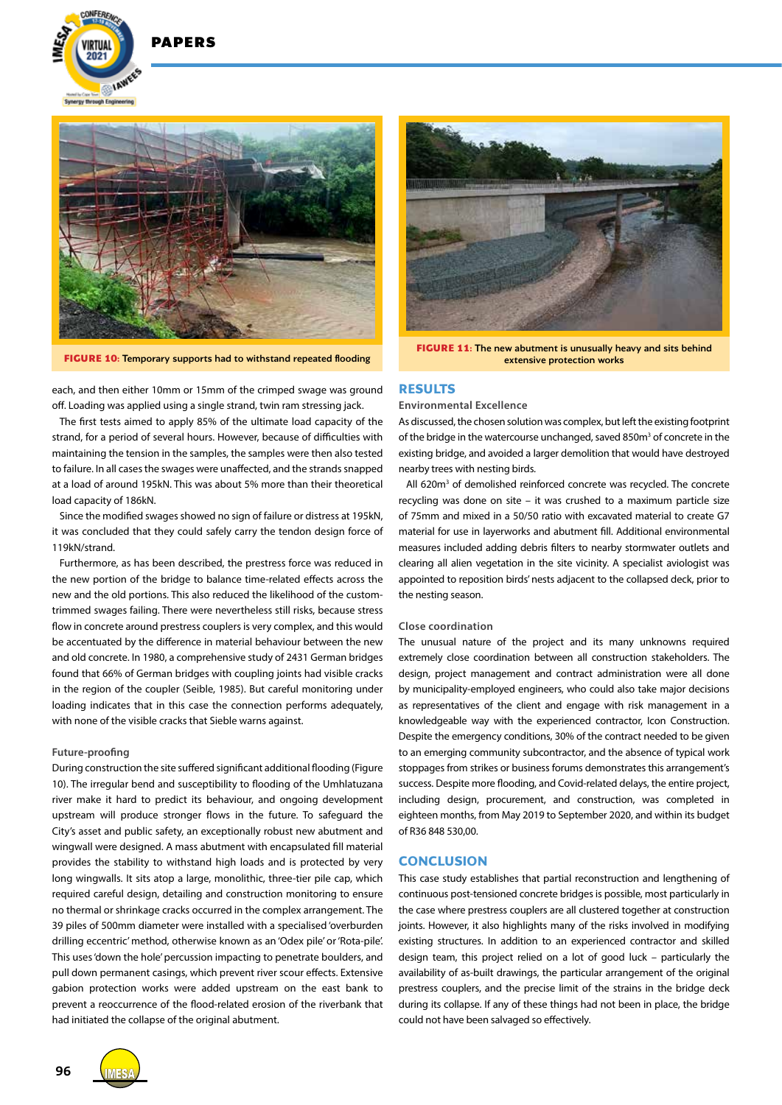

**DADEDS** 



**FIGURE 10:** Temporary supports had to withstand repeated flooding

each, and then either 10mm or 15mm of the crimped swage was ground off. Loading was applied using a single strand, twin ram stressing jack.

The first tests aimed to apply 85% of the ultimate load capacity of the strand, for a period of several hours. However, because of difficulties with maintaining the tension in the samples, the samples were then also tested to failure. In all cases the swages were unaffected, and the strands snapped at a load of around 195kN. This was about 5% more than their theoretical load capacity of 186kN.

Since the modified swages showed no sign of failure or distress at 195kN, it was concluded that they could safely carry the tendon design force of 119kN/strand.

Furthermore, as has been described, the prestress force was reduced in the new portion of the bridge to balance time-related effects across the new and the old portions. This also reduced the likelihood of the customtrimmed swages failing. There were nevertheless still risks, because stress flow in concrete around prestress couplers is very complex, and this would be accentuated by the difference in material behaviour between the new and old concrete. In 1980, a comprehensive study of 2431 German bridges found that 66% of German bridges with coupling joints had visible cracks in the region of the coupler (Seible, 1985). But careful monitoring under loading indicates that in this case the connection performs adequately, with none of the visible cracks that Sieble warns against.

#### **Future-proofing**

During construction the site suffered significant additional flooding (Figure 10). The irregular bend and susceptibility to flooding of the Umhlatuzana river make it hard to predict its behaviour, and ongoing development upstream will produce stronger flows in the future. To safeguard the City's asset and public safety, an exceptionally robust new abutment and wingwall were designed. A mass abutment with encapsulated fill material provides the stability to withstand high loads and is protected by very long wingwalls. It sits atop a large, monolithic, three-tier pile cap, which required careful design, detailing and construction monitoring to ensure no thermal or shrinkage cracks occurred in the complex arrangement. The 39 piles of 500mm diameter were installed with a specialised 'overburden drilling eccentric' method, otherwise known as an 'Odex pile' or 'Rota-pile'. This uses 'down the hole' percussion impacting to penetrate boulders, and pull down permanent casings, which prevent river scour effects. Extensive gabion protection works were added upstream on the east bank to prevent a reoccurrence of the flood-related erosion of the riverbank that had initiated the collapse of the original abutment.



**FIGURE 11:** The new abutment is unusually heavy and sits behind extensive protection works

#### **RESULTS**

#### **Environmental Excellence**

As discussed, the chosen solution was complex, but left the existing footprint of the bridge in the watercourse unchanged, saved 850m<sup>3</sup> of concrete in the existing bridge, and avoided a larger demolition that would have destroyed nearby trees with nesting birds.

All 620m<sup>3</sup> of demolished reinforced concrete was recycled. The concrete recycling was done on site – it was crushed to a maximum particle size of 75mm and mixed in a 50/50 ratio with excavated material to create G7 material for use in layerworks and abutment fill. Additional environmental measures included adding debris filters to nearby stormwater outlets and clearing all alien vegetation in the site vicinity. A specialist aviologist was appointed to reposition birds' nests adjacent to the collapsed deck, prior to the nesting season.

#### **Close coordination**

The unusual nature of the project and its many unknowns required extremely close coordination between all construction stakeholders. The design, project management and contract administration were all done by municipality-employed engineers, who could also take major decisions as representatives of the client and engage with risk management in a knowledgeable way with the experienced contractor, Icon Construction. Despite the emergency conditions, 30% of the contract needed to be given to an emerging community subcontractor, and the absence of typical work stoppages from strikes or business forums demonstrates this arrangement's success. Despite more flooding, and Covid-related delays, the entire project, including design, procurement, and construction, was completed in eighteen months, from May 2019 to September 2020, and within its budget of R36 848 530,00.

#### **CONCLUSION**

This case study establishes that partial reconstruction and lengthening of continuous post-tensioned concrete bridges is possible, most particularly in the case where prestress couplers are all clustered together at construction joints. However, it also highlights many of the risks involved in modifying existing structures. In addition to an experienced contractor and skilled design team, this project relied on a lot of good luck – particularly the availability of as-built drawings, the particular arrangement of the original prestress couplers, and the precise limit of the strains in the bridge deck during its collapse. If any of these things had not been in place, the bridge could not have been salvaged so effectively.